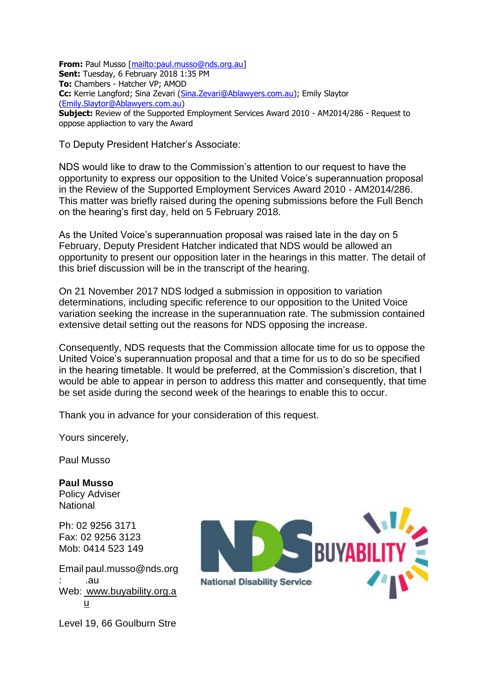**From:** Paul Musso [\[mailto:paul.musso@nds.org.au\]](mailto:paul.musso@nds.org.au) **Sent:** Tuesday, 6 February 2018 1:35 PM **To:** Chambers - Hatcher VP; AMOD **Cc:** Kerrie Langford; Sina Zevari [\(Sina.Zevari@Ablawyers.com.au\)](mailto:Sina.Zevari@Ablawyers.com.au); Emily Slaytor [\(Emily.Slaytor@Ablawyers.com.au\)](mailto:Emily.Slaytor@Ablawyers.com.au) **Subject:** Review of the Supported Employment Services Award 2010 - AM2014/286 - Request to oppose appliaction to vary the Award

To Deputy President Hatcher's Associate:

NDS would like to draw to the Commission's attention to our request to have the opportunity to express our opposition to the United Voice's superannuation proposal in the Review of the Supported Employment Services Award 2010 - AM2014/286. This matter was briefly raised during the opening submissions before the Full Bench on the hearing's first day, held on 5 February 2018.

As the United Voice's superannuation proposal was raised late in the day on 5 February, Deputy President Hatcher indicated that NDS would be allowed an opportunity to present our opposition later in the hearings in this matter. The detail of this brief discussion will be in the transcript of the hearing.

On 21 November 2017 NDS lodged a submission in opposition to variation determinations, including specific reference to our opposition to the United Voice variation seeking the increase in the superannuation rate. The submission contained extensive detail setting out the reasons for NDS opposing the increase.

Consequently, NDS requests that the Commission allocate time for us to oppose the United Voice's superannuation proposal and that a time for us to do so be specified in the hearing timetable. It would be preferred, at the Commission's discretion, that I would be able to appear in person to address this matter and consequently, that time be set aside during the second week of the hearings to enable this to occur.

Thank you in advance for your consideration of this request.

Yours sincerely,

Paul Musso

**Paul Musso** Policy Adviser **National** 

Ph: 02 9256 [3171](tel:02%209256%203171) Fax: 02 [9256](tel:02%209256%203123) 3123 Mob: [0414](tel:0414%20523%20149) 523 149

Email [paul.musso@nds.org](mailto:paul.musso@nds.org.au) : [.au](mailto:paul.musso@nds.org.au) Web: [www.buyability.org.a](http://www.buyability.org.au/) [u](http://www.buyability.org.au/)

BUYABILI **National Disability Service** 

Level 19, 66 Goulburn Stre